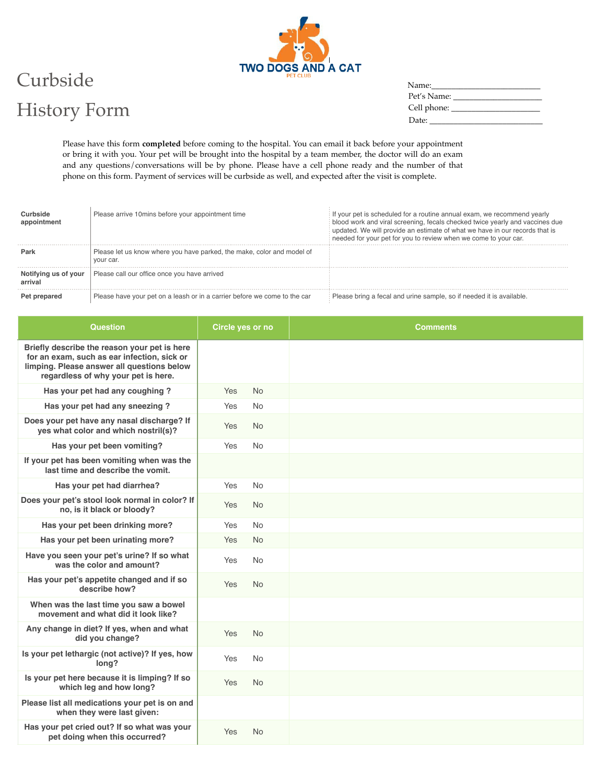

## Curbside History Form

| <b>Question</b>                                                                                                                                                                  | Circle yes or no | <b>Comments</b> |
|----------------------------------------------------------------------------------------------------------------------------------------------------------------------------------|------------------|-----------------|
| Briefly describe the reason your pet is here<br>for an exam, such as ear infection, sick or<br>limping. Please answer all questions below<br>regardless of why your pet is here. |                  |                 |
| Has your pet had any coughing?                                                                                                                                                   | <b>No</b><br>Yes |                 |
| Has your pet had any sneezing?                                                                                                                                                   | Yes<br><b>No</b> |                 |
| Does your pet have any nasal discharge? If<br>yes what color and which nostril(s)?                                                                                               | Yes<br><b>No</b> |                 |
| Has your pet been vomiting?                                                                                                                                                      | Yes<br><b>No</b> |                 |
| If your pet has been vomiting when was the<br>last time and describe the vomit.                                                                                                  |                  |                 |
| Has your pet had diarrhea?                                                                                                                                                       | Yes<br><b>No</b> |                 |
| Does your pet's stool look normal in color? If<br>no, is it black or bloody?                                                                                                     | Yes<br><b>No</b> |                 |
| Has your pet been drinking more?                                                                                                                                                 | Yes<br><b>No</b> |                 |
| Has your pet been urinating more?                                                                                                                                                | <b>No</b><br>Yes |                 |
| Have you seen your pet's urine? If so what<br>was the color and amount?                                                                                                          | Yes<br><b>No</b> |                 |
| Has your pet's appetite changed and if so<br>describe how?                                                                                                                       | Yes<br><b>No</b> |                 |
| When was the last time you saw a bowel<br>movement and what did it look like?                                                                                                    |                  |                 |
| Any change in diet? If yes, when and what<br>did you change?                                                                                                                     | Yes<br><b>No</b> |                 |
| Is your pet lethargic (not active)? If yes, how<br>long?                                                                                                                         | Yes<br><b>No</b> |                 |
| Is your pet here because it is limping? If so<br>which leg and how long?                                                                                                         | Yes<br><b>No</b> |                 |
| Please list all medications your pet is on and<br>when they were last given:                                                                                                     |                  |                 |
| Has your pet cried out? If so what was your<br>pet doing when this occurred?                                                                                                     | Yes<br><b>No</b> |                 |

|            | Please arrive 10 mins before your appointment time                                  | If your pet is scheduled for a routine annual exam, we recommend yearly<br>blood work and viral screening, fecals checked twice yearly and vaccines due<br>updated. We will provide an estimate of what we have in our records that is<br>needed for your pet for you to review when we come to your car. |
|------------|-------------------------------------------------------------------------------------|-----------------------------------------------------------------------------------------------------------------------------------------------------------------------------------------------------------------------------------------------------------------------------------------------------------|
|            | Please let us know where you have parked, the make, color and model of<br>vour car. |                                                                                                                                                                                                                                                                                                           |
| us of vour | Please call our office once you have arrived                                        |                                                                                                                                                                                                                                                                                                           |
|            | Please have your pet on a leash or in a carrier before we come to the car           | Please bring a fecal and urine sample, so if needed it is available.                                                                                                                                                                                                                                      |

Please have this form **completed** before coming to the hospital. You can email it back before your appointment or bring it with you. Your pet will be brought into the hospital by a team member, the doctor will do an exam and any questions/conversations will be by phone. Please have a cell phone ready and the number of that phone on this form. Payment of services will be curbside as well, and expected after the visit is complete.

| Name:       |
|-------------|
| Pet's Name: |
| Cell phone: |
| Date:       |